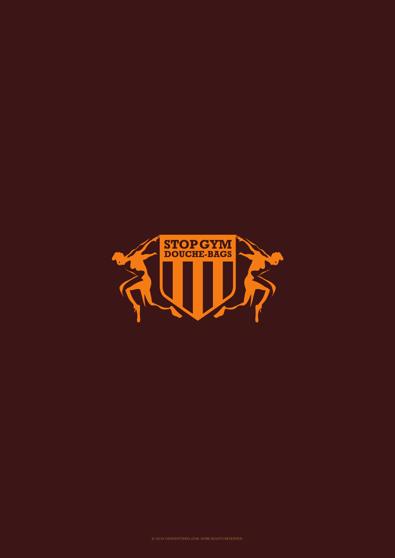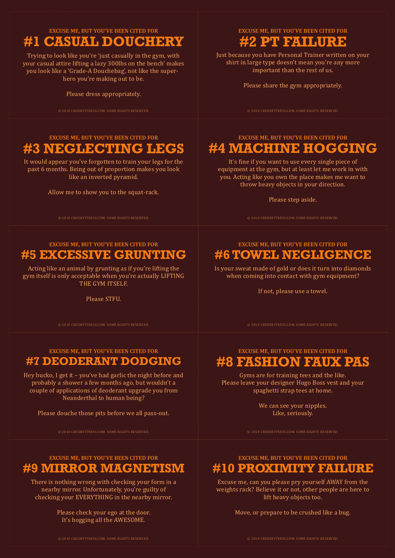**EXCUSE ME, BUT YOU'VE BEEN CITED FOR**

# **#1 CASUAL DOUCHERY**

Trying to look like you're 'just casually in the gym, with your casual attire lifting a lazy 300lbs on the bench' makes you look like a 'Grade-A Douchebag', not like the superhero you're making out to be.

Please dress appropriately.

# **EXCUSE ME, BUT YOU'VE BEEN CITED FOR #3 NEGLECTING LEGS**

It would appear you've forgotten to train your legs for the past 6 months. Being out of proportion makes you look like an inverted pyramid.

Allow me to show you to the squat-rack.

**EXCUSE ME, BUT YOU'VE BEEN CITED FOR**

# **#5 EXCESSIVE GRUNTING**

Acting like an animal by grunting as if you're lifting the gym itself is only acceptable when you're actually LIFTING THE GYM ITSELF.

Please STFU.

### **EXCUSE ME, BUT YOU'VE BEEN CITED FOR #7 DEODERANT DODGING**

Hey bucko, I get it – you've had garlic the night before and probably a shower a few months ago, but wouldn't a couple of applications of deoderant upgrade you from Neanderthal to human being?

Please douche those pits before we all pass-out.

### **EXCUSE ME, BUT YOU'VE BEEN CITED FOR #9 MIRROR MAGNETISM**

There is nothing wrong with checking your form in a nearby mirror. Unfortunately, you're guilty of checking your EVERYTHING in the nearby mirror.

> Please check your ego at the door. It's hogging all the AWESOME.

**EXCUSE ME, BUT YOU'VE BEEN CITED FOR**

# **#2 PT FAILURE**

Just because you have Personal Trainer written on your shirt in large type doesn't mean you're any more important than the rest of us.

Please share the gym appropriately.

© 2010 CRUDEFITNESS.COM. SOME RIGHTS RESERVED. © 2010 CRUDEFITNESS.COM. SOME RIGHTS RESERVED.

# **EXCUSE ME, BUT YOU'VE BEEN CITED FOR #4 MACHINE HOGGING**

It's fine if you want to use every single piece of equipment at the gym, but at least let me work in with you. Acting like you own the place makes me want to throw heavy objects in your direction.

Please step aside.

© 2010 CRUDEFITNESS.COM. SOME RIGHTS RESERVED. © 2010 CRUDEFITNESS.COM. SOME RIGHTS RESERVED.

### **EXCUSE ME, BUT YOU'VE BEEN CITED FOR #6 TOWEL NEGLIGENCE**

Is your sweat made of gold or does it turn into diamonds when coming into contact with gym equipment?

If not, please use a towel.

© 2010 CRUDEFITNESS.COM. SOME RIGHTS RESERVED. © 2010 CRUDEFITNESS.COM. SOME RIGHTS RESERVED.

# **EXCUSE ME, BUT YOU'VE BEEN CITED FOR #8 FASHION FAUX PAS**

Gyms are for training tees and the like. Please leave your designer Hugo Boss vest and your spaghetti strap tees at home.

> We can see your nipples. Like, seriously.

### **EXCUSE ME, BUT YOU'VE BEEN CITED FOR #10 PROXIMITY FAILURE**

Excuse me, can you please pry yourself AWAY from the weights rack? Believe it or not, other people are here to lift heavy objects too.

Move, or prepare to be crushed like a bug.